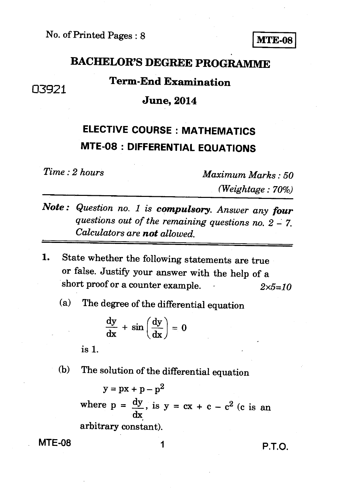### **BACHELOR'S DEGREE PROGRAMME**

### **Term-End Examination**

### **June, 2014**

## **ELECTIVE COURSE : MATHEMATICS MTE-08 : DIFFERENTIAL EQUATIONS**

133921

*Time : 2 hours Maximum Marks : 50 (Weightage : 70%)* 

- *Note : Question no. 1 is compulsory. Answer any four questions out of the remaining questions no. 2 - 7. Calculators are not allowed.*
- **1.** State whether the following statements are true or false. Justify your answer with the help of a short proof or a counter example.  $2 \times 5=10$ 
	- (a) The degree of the differential equation

$$
\frac{dy}{dx} + \sin\left(\frac{dy}{dx}\right) = 0
$$

is 1.

#### (b) The solution of the differential equation

 $y = px + p - p^2$ where  $p = \frac{dy}{dx}$ , is  $y = cx + c - c^2$  (c is an dx arbitrary constant).

**MTE-08** 1 **1** P.T.O.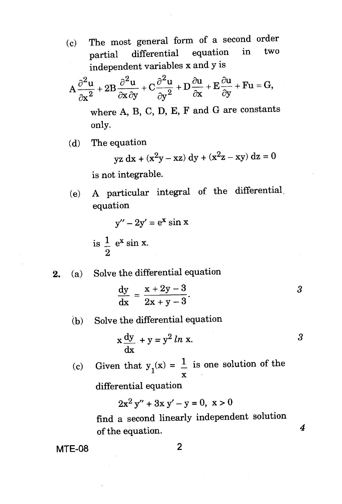(c) The most general form of a second order<br>contribution in two partial differential equation independent variables x and y is

$$
A\frac{\partial^2 u}{\partial x^2} + 2B\frac{\partial^2 u}{\partial x \partial y} + C\frac{\partial^2 u}{\partial y^2} + D\frac{\partial u}{\partial x} + E\frac{\partial u}{\partial y} + Fu = G,
$$

where A, B, C, D, E, F and G are constants only.

(d) The equation

 $yz dx + (x^2y - xz) dy + (x^2z - xy) dz = 0$ 

is not integrable.

(e) A particular integral of the differential. equation

$$
y'' - 2y' = e^x \sin x
$$

is 
$$
\frac{1}{2}
$$
 e<sup>x</sup> sin x.

2. (a) Solve the differential equation

$$
\frac{\mathrm{dy}}{\mathrm{dx}} = \frac{x + 2y - 3}{2x + y - 3}.
$$

(b) Solve the differential equation

$$
x\frac{dy}{dx} + y = y^2 \ln x.
$$

4

(c) Given that  $y_1(x) = \frac{1}{x}$  is one solution of the

differential equation

$$
2x^2 y'' + 3x y' - y = 0, \ x > 0
$$

find a second linearly independent solution of the equation.

MTE-08 2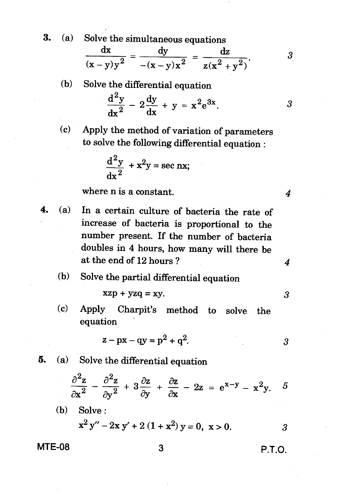**3.** (a) Solve the simultaneous equations

$$
\frac{dx}{(x-y)y^2} = \frac{dy}{-(x-y)x^2} = \frac{dz}{z(x^2+y^2)}.
$$

(b) Solve the differential equation  
\n
$$
\frac{d^2y}{dx^2} - 2\frac{dy}{dx} + y = x^2e^{3x}.
$$

(c) Apply the method of variation of parameters to solve the following differential equation :

$$
\frac{d^2y}{dx^2} + x^2y = \sec nx;
$$

where n is a constant. **4** 

**4.** (a) In a certain culture of bacteria the rate of increase of bacteria is proportional to the number present. If the number of bacteria doubles in 4 hours, how many will there be at the end of  $12$  hours ?  $4$ 

#### (b) Solve the partial differential equation

$$
xzp + yzq = xy.
$$

(c) Apply Charpit's method to solve the equation

$$
z - px - qy = p^2 + q^2.
$$

**5.** (a) Solve the differential equation

$$
\frac{\partial^2 z}{\partial x^2} - \frac{\partial^2 z}{\partial y^2} + 3\frac{\partial z}{\partial y} + \frac{\partial z}{\partial x} - 2z = e^{x-y} - x^2y.
$$
  
(b) Solve:  

$$
x^2 y'' - 2xy' + 2(1 + x^2) y = 0, x > 0.
$$
3

$$
MTE-08 \t\t 3 \t\t P.T.O.
$$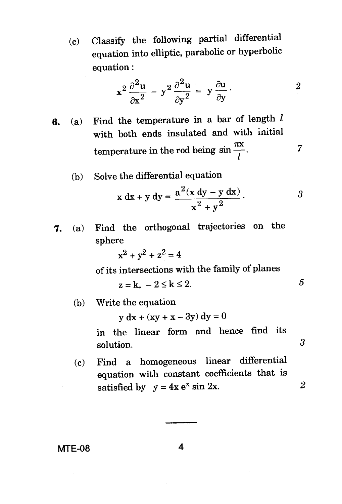(c) Classify the following partial differential equation into elliptic, parabolic or hyperbolic equation :

$$
x^2 \frac{\partial^2 u}{\partial x^2} - y^2 \frac{\partial^2 u}{\partial y^2} = y \frac{\partial u}{\partial y}.
$$

- 6. (a) Find the temperature in a bar of length  $l$ with both ends insulated and with initial temperature in the rod being  $\sin \frac{\pi x}{l}$ . 7
	- (b) Solve the differential equation

$$
x dx + y dy = \frac{a^{2}(x dy - y dx)}{x^{2} + y^{2}}.
$$

5

3

7. (a) Find the orthogonal trajectories on the sphere

$$
x^2 + y^2 + z^2 = 4
$$

of its intersections with the family of planes

$$
z=k, -2\leq k\leq 2.
$$

(b) Write the equation

 $y dx + (xy + x - 3y) dy = 0$ 

in the linear form and hence find its solution.

(c) Find a homogeneous linear differential equation with constant coefficients that is  $\overline{2}$ satisfied by  $y = 4x e^x \sin 2x$ .

**MTE-08 4**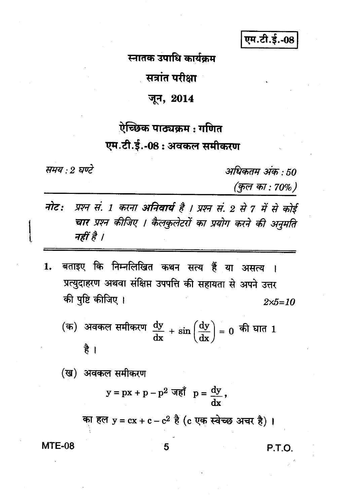एम.टी.ई.-08

स्नातक उपाधि कार्यक्रम

सत्रांत परीक्षा

#### जून, 2014

# ऐच्छिक पाठ्यक्रम : गणित

# एम.टी.ई.-08: अवकल समीकरण

समय : २ घण्टे

अधिकतम अंक : 50

(कुल का : 70%)

- नोट: प्रश्न सं. 1 करना अनिवार्य है । प्रश्न सं. 2 से 7 में से कोई चार प्रश्न कीजिए । कैलकुलेटरों का प्रयोग करने की अनमति नहीं है ।
- बताइए कि निम्नलिखित कथन सत्य हैं या असत्य । 1. प्रत्युदाहरण अथवा संक्षिप्त उपपत्ति की सहायता से अपने उत्तर की पृष्टि कीजिए ।  $2 \times 5 = 10$

(क) अवकल समीकरण 
$$
\frac{dy}{dx} + \sin\left(\frac{dy}{dx}\right) = 0
$$
 की घात 1  
है ।

(ख) अवकल समीकरण

$$
y = px + p - p^2 \ \overrightarrow{\mathfrak{nsl}} \quad p = \frac{dy}{dx},
$$

का हल  $y = cx + c - c^2$  है (c एक स्वेच्छ अचर है)।

**MTE-08** 

P.T.O.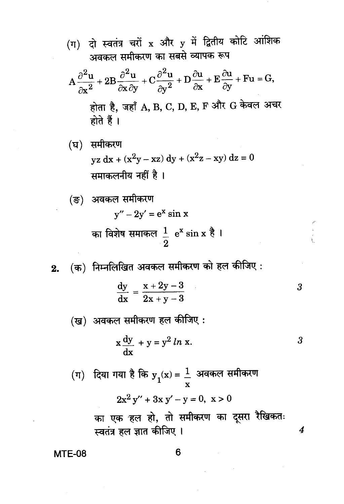(ग) दो स्वतंत्र चरों x और y में द्वितीय कोटि आंशिक अवकल समीकरण का सबसे व्यापक रूप

$$
A\frac{\partial^2 u}{\partial x^2} + 2B\frac{\partial^2 u}{\partial x \partial y} + C\frac{\partial^2 u}{\partial y^2} + D\frac{\partial u}{\partial x} + E\frac{\partial u}{\partial y} + Fu = G,
$$
  
होता है, जहाँ A, B, C, D, E, F और G केवल अचर  
होते हैं l

(घ) समीकरण  $yz dx + (x<sup>2</sup>y - xz) dy + (x<sup>2</sup>z - xy) dz = 0$ समाकलनीय नहीं है।

(ङ) अवकल समीकरण  

$$
y'' - 2y' = e^x \sin x
$$
का विशेष समाकल  $\frac{1}{2}$  e<sup>x</sup> sin x  $\frac{1}{6}$  l

(क) निम्नलिखित अवकल समीकरण को हल कीजिए :  $2.$ 

$$
\frac{dy}{dx} = \frac{x + 2y - 3}{2x + y - 3}
$$
3

(ख) अवकल समीकरण हल कीजिए:

$$
x\frac{dy}{dx} + y = y^2 \ln x.
$$

 $\overline{4}$ 

(ग) दिया गया है कि 
$$
y_1(x) = \frac{1}{x}
$$
 अवकल समीकरण  
2x<sup>2</sup>y'' + 3x y' - y = 0, x > 0  
का एक हल हो, तो समीकरण का दूसरा रैखिकतः

स्वतंत्र हल ज्ञात कीजिए ।

**MTE-08**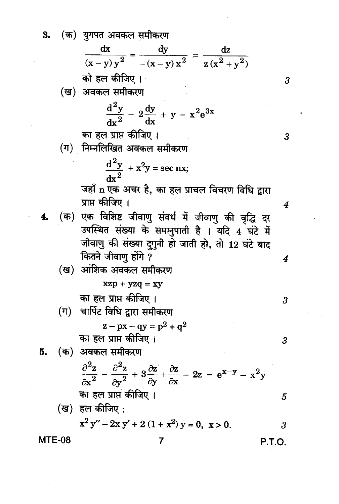3. (क) युगपत अवकल समीकरण

$$
\frac{dx}{(x-y)y^2} = \frac{dy}{-(x-y)x^2} = \frac{dz}{z(x^2+y^2)}
$$

को हल कीजिए ।

(ख) अवकल समीकरण

$$
\frac{\mathrm{d}^2 y}{\mathrm{d} x^2} - 2\frac{\mathrm{d} y}{\mathrm{d} x} + y = x^2 \mathrm{e}^{3x}
$$

का हल प्राप्त कीजिए।

(ग) निम्नलिखित अवकल समीकरण

$$
\frac{d^2y}{dx^2} + x^2y = \sec nx;
$$

जहाँ n एक अचर है, का हल प्राचल विचरण विधि द्वारा प्राप्त कीजिए ।

(क) एक विशिष्ट जीवाणु संवर्ध में जीवाणु की वृद्धि दर  $\mathbf{4}$ उपस्थित संख्या के समानुपाती है । यदि 4 घंटे में जीवाणु की संख्या दुगुनी हो जाती हो, तो 12 घंटे बाद कितने जीवाणु होंगे ?

(ख) आशिक अवकल समीकरण  
\nxzp + yzq = xy  
\nका हल प्राप्त कीजिए ।  
\n(ग) चार्पिट विधि द्वारा समीकरण  
\n
$$
z - px - qy = p^2 + q^2
$$
  
\nका हल प्राप्त कीजिए ।  
\n(क) अवकल समीकरण  
\n
$$
\frac{\partial^2 z}{\partial x^2} - \frac{\partial^2 z}{\partial y^2} + 3 \frac{\partial z}{\partial y} + \frac{\partial z}{\partial x} - 2z = e^{x-y} - x^2y
$$

का हल प्राप्तं कीजिए ।  
\n(ख) हल कीजिए :  
\n
$$
x^2y'' - 2xy' + 2(1 + x^2)y = 0, x > 0.
$$

 $\overline{7}$ 

**MTE-08** 

5.

 $\overline{4}$ 

 $\boldsymbol{\beta}$ 

 $\overline{\mathbf{3}}$ 

 $\boldsymbol{4}$ 

P.T.O.